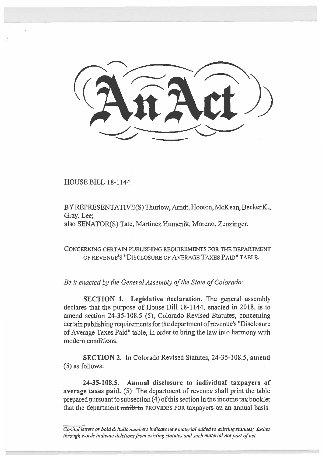$(2\pi\lambda c)$ 

HOUSE BILL 18-1144

BY REPRESENTATIVE(S) Thurlow, Amdt, Hooton, McKean, Becker K., Gray, Lee; also SENATOR(S) Tate, Martinez Humenik, Moreno, Zenzinger.

**CONCERNING CERTAIN PUBLISHING REQUIREMENTS FOR THE DEPARTMENT OF REVENUE'S "DISCLOSURE OF AVERAGE TAXES PAID" TABLE.** 

*Be it enacted by the General Assembly of the State of Colorado:* 

**SECTION 1. Legislative declaration. The general assembly**  declares that the purpose of House Bill 18-1144, enacted in 2018, is to amend section 24-35-108.5 (5), Colorado Revised Statutes, concerning certain publishing requirements for the department of revenue's "Disclosure of Average Taxes Paid" table, in order to bring the law into harmony with modem conditions.

**SECTION 2.** In Colorado Revised Statutes, 24-35-108.5, **amend**  (5) as follows:

**24-35-108.5. Annual disclosure to individual taxpayers of average taxes paid.** (5) The department of revenue shall print the table prepared pursuant to subsection (4) of this section in the income tax booklet that the department mails to PROVIDES FOR taxpayers on an annual basis.

*Capital letters or bold & italic numbers indicate new material added to existing statutes; dashes through words indicate deletions from existing statutes and such material not part of act.*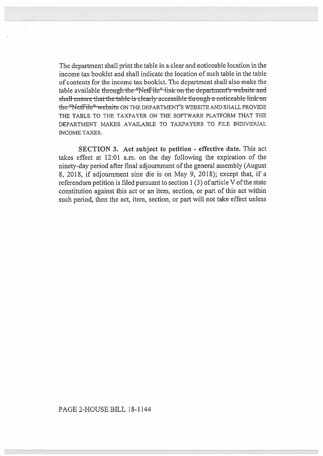The department shall print the table in a clear and noticeable location in the income tax booklet and shall indicate the location of such table in the table of contents for the income tax booklet. The department shall also make the table available through the "NetFile"-link on the department's website and shall ensure that the table-is-clearly accessible through a noticeable-link-on the "NetFile" website ON THE DEPARTMENT'S WEBSITE AND SHALL PROVIDE THE TABLE **TO** THE TAXPAYER ON THE SOFTWARE PLATFORM THAT THE DEPARTMENT MAKES AVAILABLE TO TAXPAYERS TO FILE INDIVIDUAL INCOME TAXES.

**SECTION 3. Act subject to petition - effective date.** This act takes effect at 12:01 a.m. on the day following the expiration of the ninety-day period after final adjournment of the general assembly (August 8, 2018, if adjournment sine die is on May 9, 2018); except that, if a referendum petition is filed pursuant to section 1 (3) of article V of the state constitution against this act or an item, section, or part of this act within such period, then the act, item, section, or part will not take effect unless

## PAGE 2-HOUSE **BILL 18-1144**